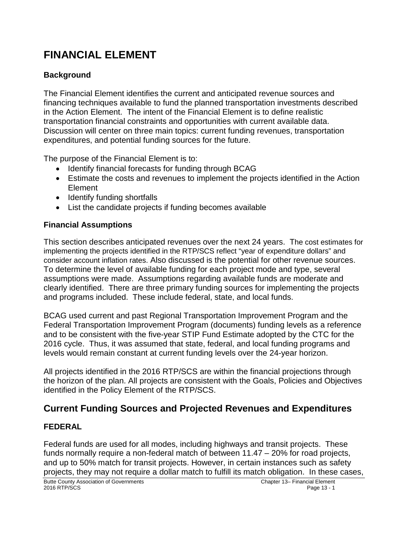# **FINANCIAL ELEMENT**

### **Background**

The Financial Element identifies the current and anticipated revenue sources and financing techniques available to fund the planned transportation investments described in the Action Element. The intent of the Financial Element is to define realistic transportation financial constraints and opportunities with current available data. Discussion will center on three main topics: current funding revenues, transportation expenditures, and potential funding sources for the future.

The purpose of the Financial Element is to:

- Identify financial forecasts for funding through BCAG
- Estimate the costs and revenues to implement the projects identified in the Action Element
- Identify funding shortfalls
- List the candidate projects if funding becomes available

### **Financial Assumptions**

This section describes anticipated revenues over the next 24 years. The cost estimates for implementing the projects identified in the RTP/SCS reflect "year of expenditure dollars" and consider account inflation rates. Also discussed is the potential for other revenue sources. To determine the level of available funding for each project mode and type, several assumptions were made. Assumptions regarding available funds are moderate and clearly identified. There are three primary funding sources for implementing the projects and programs included. These include federal, state, and local funds.

BCAG used current and past Regional Transportation Improvement Program and the Federal Transportation Improvement Program (documents) funding levels as a reference and to be consistent with the five-year STIP Fund Estimate adopted by the CTC for the 2016 cycle. Thus, it was assumed that state, federal, and local funding programs and levels would remain constant at current funding levels over the 24-year horizon.

All projects identified in the 2016 RTP/SCS are within the financial projections through the horizon of the plan. All projects are consistent with the Goals, Policies and Objectives identified in the Policy Element of the RTP/SCS.

# **Current Funding Sources and Projected Revenues and Expenditures**

### **FEDERAL**

Federal funds are used for all modes, including highways and transit projects. These funds normally require a non-federal match of between 11.47 – 20% for road projects, and up to 50% match for transit projects. However, in certain instances such as safety projects, they may not require a dollar match to fulfill its match obligation. In these cases,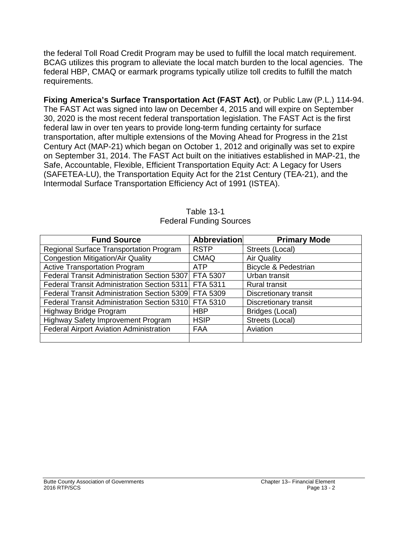the federal Toll Road Credit Program may be used to fulfill the local match requirement. BCAG utilizes this program to alleviate the local match burden to the local agencies. The federal HBP, CMAQ or earmark programs typically utilize toll credits to fulfill the match requirements.

**Fixing America's Surface Transportation Act (FAST Act)**, or Public Law (P.L.) 114-94. The FAST Act was signed into law on December 4, 2015 and will expire on September 30, 2020 is the most recent federal transportation legislation. The FAST Act is the first federal law in over ten years to provide long-term funding certainty for surface transportation, after multiple extensions of the Moving Ahead for Progress in the 21st Century Act (MAP-21) which began on October 1, 2012 and originally was set to expire on September 31, 2014. The FAST Act built on the initiatives established in MAP-21, the Safe, Accountable, Flexible, Efficient Transportation Equity Act: A Legacy for Users (SAFETEA-LU), the Transportation Equity Act for the 21st Century (TEA-21), and the Intermodal Surface Transportation Efficiency Act of 1991 (ISTEA).

| <b>Fund Source</b>                                   | <b>Abbreviation</b> | <b>Primary Mode</b>             |
|------------------------------------------------------|---------------------|---------------------------------|
| Regional Surface Transportation Program              | <b>RSTP</b>         | Streets (Local)                 |
| <b>Congestion Mitigation/Air Quality</b>             | <b>CMAQ</b>         | <b>Air Quality</b>              |
| <b>Active Transportation Program</b>                 | <b>ATP</b>          | <b>Bicycle &amp; Pedestrian</b> |
| Federal Transit Administration Section 5307          | FTA 5307            | Urban transit                   |
| Federal Transit Administration Section 5311          | FTA 5311            | <b>Rural transit</b>            |
| Federal Transit Administration Section 5309 FTA 5309 |                     | Discretionary transit           |
| Federal Transit Administration Section 5310 FTA 5310 |                     | <b>Discretionary transit</b>    |
| Highway Bridge Program                               | <b>HBP</b>          | Bridges (Local)                 |
| Highway Safety Improvement Program                   | <b>HSIP</b>         | Streets (Local)                 |
| <b>Federal Airport Aviation Administration</b>       | FAA                 | Aviation                        |
|                                                      |                     |                                 |

| Table 13-1                     |
|--------------------------------|
| <b>Federal Funding Sources</b> |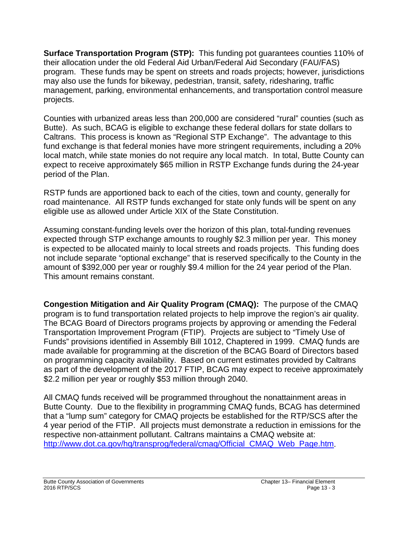**Surface Transportation Program (STP):** This funding pot guarantees counties 110% of their allocation under the old Federal Aid Urban/Federal Aid Secondary (FAU/FAS) program. These funds may be spent on streets and roads projects; however, jurisdictions may also use the funds for bikeway, pedestrian, transit, safety, ridesharing, traffic management, parking, environmental enhancements, and transportation control measure projects.

Counties with urbanized areas less than 200,000 are considered "rural" counties (such as Butte). As such, BCAG is eligible to exchange these federal dollars for state dollars to Caltrans. This process is known as "Regional STP Exchange". The advantage to this fund exchange is that federal monies have more stringent requirements, including a 20% local match, while state monies do not require any local match. In total, Butte County can expect to receive approximately \$65 million in RSTP Exchange funds during the 24-year period of the Plan.

RSTP funds are apportioned back to each of the cities, town and county, generally for road maintenance. All RSTP funds exchanged for state only funds will be spent on any eligible use as allowed under Article XIX of the State Constitution.

Assuming constant-funding levels over the horizon of this plan, total-funding revenues expected through STP exchange amounts to roughly \$2.3 million per year. This money is expected to be allocated mainly to local streets and roads projects. This funding does not include separate "optional exchange" that is reserved specifically to the County in the amount of \$392,000 per year or roughly \$9.4 million for the 24 year period of the Plan. This amount remains constant.

**Congestion Mitigation and Air Quality Program (CMAQ):** The purpose of the CMAQ program is to fund transportation related projects to help improve the region's air quality. The BCAG Board of Directors programs projects by approving or amending the Federal Transportation Improvement Program (FTIP). Projects are subject to "Timely Use of Funds" provisions identified in Assembly Bill 1012, Chaptered in 1999. CMAQ funds are made available for programming at the discretion of the BCAG Board of Directors based on programming capacity availability. Based on current estimates provided by Caltrans as part of the development of the 2017 FTIP, BCAG may expect to receive approximately \$2.2 million per year or roughly \$53 million through 2040.

All CMAQ funds received will be programmed throughout the nonattainment areas in Butte County. Due to the flexibility in programming CMAQ funds, BCAG has determined that a "lump sum" category for CMAQ projects be established for the RTP/SCS after the 4 year period of the FTIP. All projects must demonstrate a reduction in emissions for the respective non-attainment pollutant. Caltrans maintains a CMAQ website at: [http://www.dot.ca.gov/hq/transprog/federal/cmaq/Official\\_CMAQ\\_Web\\_Page.htm.](http://www.dot.ca.gov/hq/transprog/federal/cmaq/Official_CMAQ_Web_Page.htm)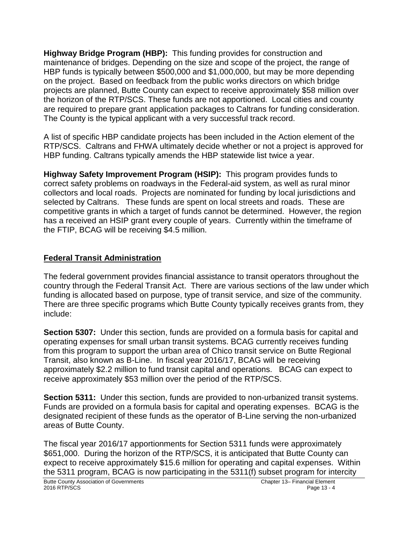**Highway Bridge Program (HBP):** This funding provides for construction and maintenance of bridges. Depending on the size and scope of the project, the range of HBP funds is typically between \$500,000 and \$1,000,000, but may be more depending on the project. Based on feedback from the public works directors on which bridge projects are planned, Butte County can expect to receive approximately \$58 million over the horizon of the RTP/SCS. These funds are not apportioned. Local cities and county are required to prepare grant application packages to Caltrans for funding consideration. The County is the typical applicant with a very successful track record.

A list of specific HBP candidate projects has been included in the Action element of the RTP/SCS. Caltrans and FHWA ultimately decide whether or not a project is approved for HBP funding. Caltrans typically amends the HBP statewide list twice a year.

**Highway Safety Improvement Program (HSIP):** This program provides funds to correct safety problems on roadways in the Federal-aid system, as well as rural minor collectors and local roads. Projects are nominated for funding by local jurisdictions and selected by Caltrans. These funds are spent on local streets and roads. These are competitive grants in which a target of funds cannot be determined. However, the region has a received an HSIP grant every couple of years. Currently within the timeframe of the FTIP, BCAG will be receiving \$4.5 million.

### **Federal Transit Administration**

The federal government provides financial assistance to transit operators throughout the country through the Federal Transit Act. There are various sections of the law under which funding is allocated based on purpose, type of transit service, and size of the community. There are three specific programs which Butte County typically receives grants from, they include:

**Section 5307:** Under this section, funds are provided on a formula basis for capital and operating expenses for small urban transit systems. BCAG currently receives funding from this program to support the urban area of Chico transit service on Butte Regional Transit, also known as B-Line. In fiscal year 2016/17, BCAG will be receiving approximately \$2.2 million to fund transit capital and operations. BCAG can expect to receive approximately \$53 million over the period of the RTP/SCS.

**Section 5311:** Under this section, funds are provided to non-urbanized transit systems. Funds are provided on a formula basis for capital and operating expenses. BCAG is the designated recipient of these funds as the operator of B-Line serving the non-urbanized areas of Butte County.

The fiscal year 2016/17 apportionments for Section 5311 funds were approximately \$651,000. During the horizon of the RTP/SCS, it is anticipated that Butte County can expect to receive approximately \$15.6 million for operating and capital expenses. Within the 5311 program, BCAG is now participating in the 5311(f) subset program for intercity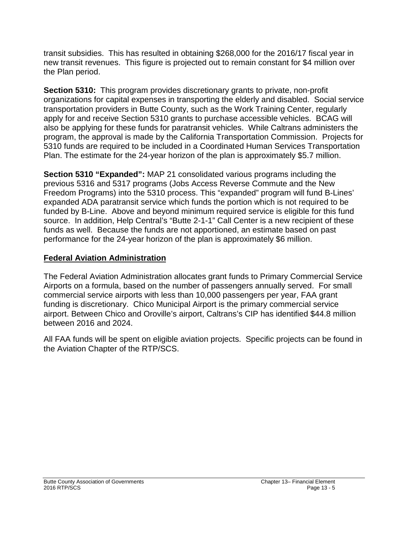transit subsidies. This has resulted in obtaining \$268,000 for the 2016/17 fiscal year in new transit revenues. This figure is projected out to remain constant for \$4 million over the Plan period.

**Section 5310:** This program provides discretionary grants to private, non-profit organizations for capital expenses in transporting the elderly and disabled. Social service transportation providers in Butte County, such as the Work Training Center, regularly apply for and receive Section 5310 grants to purchase accessible vehicles. BCAG will also be applying for these funds for paratransit vehicles. While Caltrans administers the program, the approval is made by the California Transportation Commission. Projects for 5310 funds are required to be included in a Coordinated Human Services Transportation Plan. The estimate for the 24-year horizon of the plan is approximately \$5.7 million.

**Section 5310 "Expanded":** MAP 21 consolidated various programs including the previous 5316 and 5317 programs (Jobs Access Reverse Commute and the New Freedom Programs) into the 5310 process. This "expanded" program will fund B-Lines' expanded ADA paratransit service which funds the portion which is not required to be funded by B-Line. Above and beyond minimum required service is eligible for this fund source. In addition, Help Central's "Butte 2-1-1" Call Center is a new recipient of these funds as well. Because the funds are not apportioned, an estimate based on past performance for the 24-year horizon of the plan is approximately \$6 million.

### **Federal Aviation Administration**

The Federal Aviation Administration allocates grant funds to Primary Commercial Service Airports on a formula, based on the number of passengers annually served. For small commercial service airports with less than 10,000 passengers per year, FAA grant funding is discretionary. Chico Municipal Airport is the primary commercial service airport. Between Chico and Oroville's airport, Caltrans's CIP has identified \$44.8 million between 2016 and 2024.

All FAA funds will be spent on eligible aviation projects. Specific projects can be found in the Aviation Chapter of the RTP/SCS.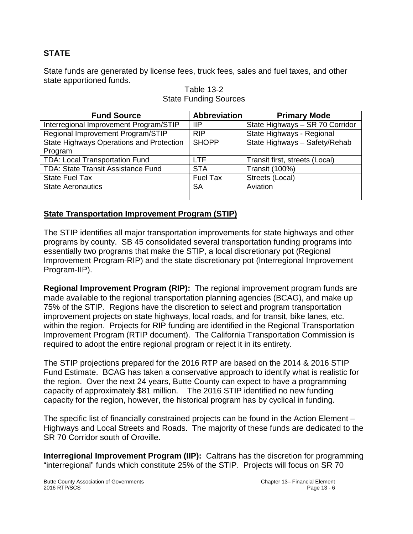### **STATE**

State funds are generated by license fees, truck fees, sales and fuel taxes, and other state apportioned funds.

| <b>Fund Source</b>                        | <b>Abbreviation</b> | <b>Primary Mode</b>             |
|-------------------------------------------|---------------------|---------------------------------|
| Interregional Improvement Program/STIP    | ШP                  | State Highways - SR 70 Corridor |
| Regional Improvement Program/STIP         | <b>RIP</b>          | State Highways - Regional       |
| State Highways Operations and Protection  | <b>SHOPP</b>        | State Highways - Safety/Rehab   |
| Program                                   |                     |                                 |
| <b>TDA: Local Transportation Fund</b>     | <b>LTF</b>          | Transit first, streets (Local)  |
| <b>TDA: State Transit Assistance Fund</b> | <b>STA</b>          | <b>Transit (100%)</b>           |
| <b>State Fuel Tax</b>                     | <b>Fuel Tax</b>     | Streets (Local)                 |
| <b>State Aeronautics</b>                  | <b>SA</b>           | Aviation                        |
|                                           |                     |                                 |

#### Table 13-2 State Funding Sources

### **State Transportation Improvement Program (STIP)**

The STIP identifies all major transportation improvements for state highways and other programs by county. SB 45 consolidated several transportation funding programs into essentially two programs that make the STIP, a local discretionary pot (Regional Improvement Program-RIP) and the state discretionary pot (Interregional Improvement Program-IIP).

**Regional Improvement Program (RIP):** The regional improvement program funds are made available to the regional transportation planning agencies (BCAG), and make up 75% of the STIP. Regions have the discretion to select and program transportation improvement projects on state highways, local roads, and for transit, bike lanes, etc. within the region. Projects for RIP funding are identified in the Regional Transportation Improvement Program (RTIP document). The California Transportation Commission is required to adopt the entire regional program or reject it in its entirety.

The STIP projections prepared for the 2016 RTP are based on the 2014 & 2016 STIP Fund Estimate. BCAG has taken a conservative approach to identify what is realistic for the region. Over the next 24 years, Butte County can expect to have a programming capacity of approximately \$81 million. The 2016 STIP identified no new funding capacity for the region, however, the historical program has by cyclical in funding.

The specific list of financially constrained projects can be found in the Action Element – Highways and Local Streets and Roads. The majority of these funds are dedicated to the SR 70 Corridor south of Oroville.

**Interregional Improvement Program (IIP):** Caltrans has the discretion for programming "interregional" funds which constitute 25% of the STIP. Projects will focus on SR 70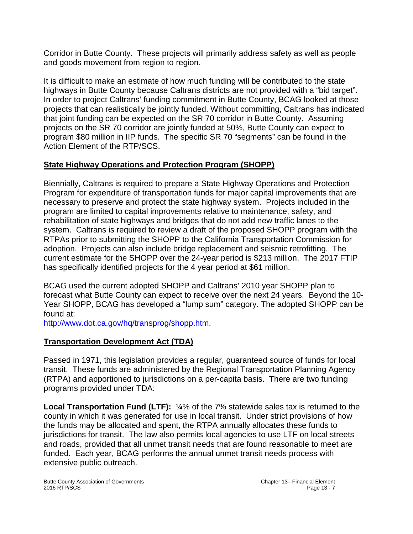Corridor in Butte County. These projects will primarily address safety as well as people and goods movement from region to region.

It is difficult to make an estimate of how much funding will be contributed to the state highways in Butte County because Caltrans districts are not provided with a "bid target". In order to project Caltrans' funding commitment in Butte County, BCAG looked at those projects that can realistically be jointly funded. Without committing, Caltrans has indicated that joint funding can be expected on the SR 70 corridor in Butte County. Assuming projects on the SR 70 corridor are jointly funded at 50%, Butte County can expect to program \$80 million in IIP funds. The specific SR 70 "segments" can be found in the Action Element of the RTP/SCS.

# **State Highway Operations and Protection Program (SHOPP)**

Biennially, Caltrans is required to prepare a State Highway Operations and Protection Program for expenditure of transportation funds for major capital improvements that are necessary to preserve and protect the state highway system. Projects included in the program are limited to capital improvements relative to maintenance, safety, and rehabilitation of state highways and bridges that do not add new traffic lanes to the system. Caltrans is required to review a draft of the proposed SHOPP program with the RTPAs prior to submitting the SHOPP to the California Transportation Commission for adoption. Projects can also include bridge replacement and seismic retrofitting. The current estimate for the SHOPP over the 24-year period is \$213 million. The 2017 FTIP has specifically identified projects for the 4 year period at \$61 million.

BCAG used the current adopted SHOPP and Caltrans' 2010 year SHOPP plan to forecast what Butte County can expect to receive over the next 24 years. Beyond the 10- Year SHOPP, BCAG has developed a "lump sum" category. The adopted SHOPP can be found at:

[http://www.dot.ca.gov/hq/transprog/shopp.htm.](http://www.dot.ca.gov/hq/transprog/shopp.htm)

# **Transportation Development Act (TDA)**

Passed in 1971, this legislation provides a regular, guaranteed source of funds for local transit. These funds are administered by the Regional Transportation Planning Agency (RTPA) and apportioned to jurisdictions on a per-capita basis. There are two funding programs provided under TDA:

**Local Transportation Fund (LTF):**  $\frac{1}{4}$ % of the 7% statewide sales tax is returned to the county in which it was generated for use in local transit. Under strict provisions of how the funds may be allocated and spent, the RTPA annually allocates these funds to jurisdictions for transit. The law also permits local agencies to use LTF on local streets and roads, provided that all unmet transit needs that are found reasonable to meet are funded. Each year, BCAG performs the annual unmet transit needs process with extensive public outreach.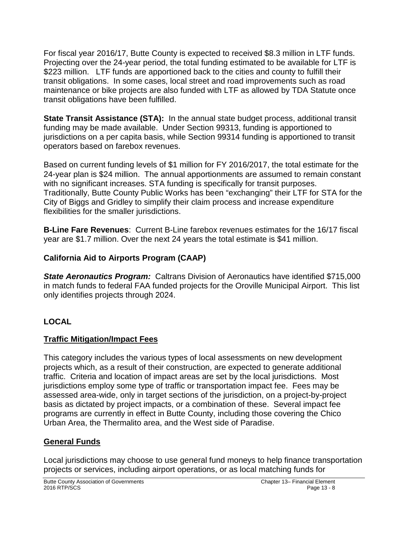For fiscal year 2016/17, Butte County is expected to received \$8.3 million in LTF funds. Projecting over the 24-year period, the total funding estimated to be available for LTF is \$223 million. LTF funds are apportioned back to the cities and county to fulfill their transit obligations. In some cases, local street and road improvements such as road maintenance or bike projects are also funded with LTF as allowed by TDA Statute once transit obligations have been fulfilled.

**State Transit Assistance (STA):** In the annual state budget process, additional transit funding may be made available. Under Section 99313, funding is apportioned to jurisdictions on a per capita basis, while Section 99314 funding is apportioned to transit operators based on farebox revenues.

Based on current funding levels of \$1 million for FY 2016/2017, the total estimate for the 24-year plan is \$24 million. The annual apportionments are assumed to remain constant with no significant increases. STA funding is specifically for transit purposes. Traditionally, Butte County Public Works has been "exchanging" their LTF for STA for the City of Biggs and Gridley to simplify their claim process and increase expenditure flexibilities for the smaller jurisdictions.

**B-Line Fare Revenues**: Current B-Line farebox revenues estimates for the 16/17 fiscal year are \$1.7 million. Over the next 24 years the total estimate is \$41 million.

### **California Aid to Airports Program (CAAP)**

*State Aeronautics Program:* Caltrans Division of Aeronautics have identified \$715,000 in match funds to federal FAA funded projects for the Oroville Municipal Airport. This list only identifies projects through 2024.

### **LOCAL**

### **Traffic Mitigation/Impact Fees**

This category includes the various types of local assessments on new development projects which, as a result of their construction, are expected to generate additional traffic. Criteria and location of impact areas are set by the local jurisdictions. Most jurisdictions employ some type of traffic or transportation impact fee. Fees may be assessed area-wide, only in target sections of the jurisdiction, on a project-by-project basis as dictated by project impacts, or a combination of these. Several impact fee programs are currently in effect in Butte County, including those covering the Chico Urban Area, the Thermalito area, and the West side of Paradise.

### **General Funds**

Local jurisdictions may choose to use general fund moneys to help finance transportation projects or services, including airport operations, or as local matching funds for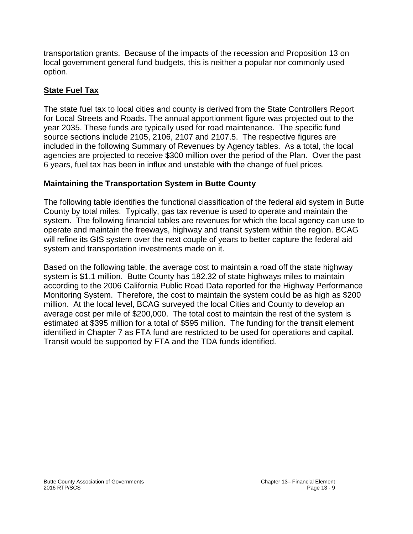transportation grants. Because of the impacts of the recession and Proposition 13 on local government general fund budgets, this is neither a popular nor commonly used option.

### **State Fuel Tax**

The state fuel tax to local cities and county is derived from the State Controllers Report for Local Streets and Roads. The annual apportionment figure was projected out to the year 2035. These funds are typically used for road maintenance. The specific fund source sections include 2105, 2106, 2107 and 2107.5. The respective figures are included in the following Summary of Revenues by Agency tables. As a total, the local agencies are projected to receive \$300 million over the period of the Plan. Over the past 6 years, fuel tax has been in influx and unstable with the change of fuel prices.

### **Maintaining the Transportation System in Butte County**

The following table identifies the functional classification of the federal aid system in Butte County by total miles. Typically, gas tax revenue is used to operate and maintain the system. The following financial tables are revenues for which the local agency can use to operate and maintain the freeways, highway and transit system within the region. BCAG will refine its GIS system over the next couple of years to better capture the federal aid system and transportation investments made on it.

Based on the following table, the average cost to maintain a road off the state highway system is \$1.1 million. Butte County has 182.32 of state highways miles to maintain according to the 2006 California Public Road Data reported for the Highway Performance Monitoring System. Therefore, the cost to maintain the system could be as high as \$200 million. At the local level, BCAG surveyed the local Cities and County to develop an average cost per mile of \$200,000. The total cost to maintain the rest of the system is estimated at \$395 million for a total of \$595 million. The funding for the transit element identified in Chapter 7 as FTA fund are restricted to be used for operations and capital. Transit would be supported by FTA and the TDA funds identified.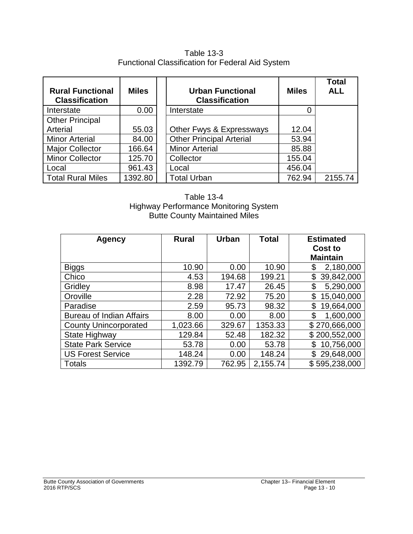### Table 13-3 Functional Classification for Federal Aid System

| <b>Rural Functional</b><br><b>Classification</b> | <b>Miles</b> | <b>Urban Functional</b><br><b>Classification</b> | <b>Miles</b> | <b>Total</b><br><b>ALL</b> |
|--------------------------------------------------|--------------|--------------------------------------------------|--------------|----------------------------|
| Interstate                                       | 0.00         | Interstate                                       |              |                            |
| <b>Other Principal</b>                           |              |                                                  |              |                            |
| Arterial                                         | 55.03        | Other Fwys & Expressways                         | 12.04        |                            |
| <b>Minor Arterial</b>                            | 84.00        | <b>Other Principal Arterial</b>                  | 53.94        |                            |
| <b>Major Collector</b>                           | 166.64       | <b>Minor Arterial</b>                            | 85.88        |                            |
| <b>Minor Collector</b>                           | 125.70       | Collector                                        | 155.04       |                            |
| Local                                            | 961.43       | Local                                            | 456.04       |                            |
| <b>Total Rural Miles</b>                         | 1392.80      | <b>Total Urban</b>                               | 762.94       | 2155.74                    |

#### Table 13-4 Highway Performance Monitoring System Butte County Maintained Miles

| Agency                          | <b>Rural</b> | Urban  | <b>Total</b> | <b>Estimated</b> |
|---------------------------------|--------------|--------|--------------|------------------|
|                                 |              |        |              | Cost to          |
|                                 |              |        |              | <b>Maintain</b>  |
| <b>Biggs</b>                    | 10.90        | 0.00   | 10.90        | 2,180,000<br>\$  |
| Chico                           | 4.53         | 194.68 | 199.21       | \$<br>39,842,000 |
| Gridley                         | 8.98         | 17.47  | 26.45        | 5,290,000<br>\$  |
| Oroville                        | 2.28         | 72.92  | 75.20        | 15,040,000<br>\$ |
| Paradise                        | 2.59         | 95.73  | 98.32        | \$<br>19,664,000 |
| <b>Bureau of Indian Affairs</b> | 8.00         | 0.00   | 8.00         | 1,600,000<br>\$  |
| <b>County Unincorporated</b>    | 1,023.66     | 329.67 | 1353.33      | \$270,666,000    |
| State Highway                   | 129.84       | 52.48  | 182.32       | \$200,552,000    |
| <b>State Park Service</b>       | 53.78        | 0.00   | 53.78        | 10,756,000<br>\$ |
| <b>US Forest Service</b>        | 148.24       | 0.00   | 148.24       | 29,648,000       |
| <b>Totals</b>                   | 1392.79      | 762.95 | 2,155.74     | \$595,238,000    |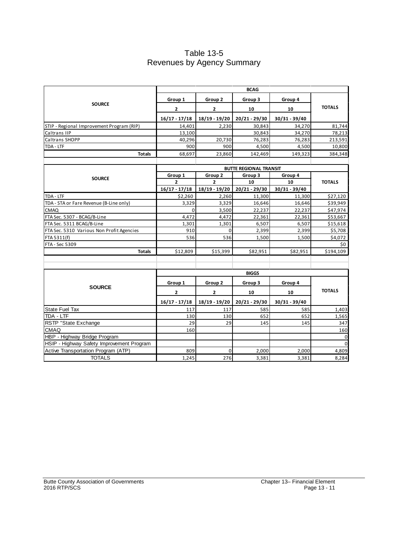### Table 13-5 Revenues by Agency Summary

|                                           | <b>BCAG</b>                   |                 |                 |               |               |  |
|-------------------------------------------|-------------------------------|-----------------|-----------------|---------------|---------------|--|
|                                           | Group 1                       | Group 2         | Group 3         | Group 4       |               |  |
| <b>SOURCE</b>                             | $\mathbf{2}$                  | $\overline{2}$  | 10              | 10            | <b>TOTALS</b> |  |
|                                           | $16/17 - 17/18$               | $18/19 - 19/20$ | 20/21 - 29/30   | 30/31 - 39/40 |               |  |
| STIP - Regional Improvement Program (RIP) | 14,401                        | 2,230           | 30,843          | 34,270        | 81,744        |  |
| Caltrans IIP                              | 13,100                        |                 | 30,843          | 34,270        | 78,213        |  |
| Caltrans SHOPP                            | 40,296                        | 20,730          | 76,283          | 76,283        | 213,591       |  |
| TDA - LTF                                 | 900                           | 900             | 4,500           | 4,500         | 10,800        |  |
| <b>Totals</b>                             | 68,697                        | 23,860          | 142,469         | 149,323       | 384,348       |  |
|                                           |                               |                 |                 |               |               |  |
|                                           | <b>BUTTE REGIONAL TRANSIT</b> |                 |                 |               |               |  |
| <b>SOURCE</b>                             | Group 1                       | Group 2         | Group 3         | Group 4       |               |  |
|                                           | $\overline{2}$                | $\overline{2}$  | 10              | 10            | <b>TOTALS</b> |  |
|                                           | $16/17 - 17/18$               | 18/19 - 19/20   | $20/21 - 29/30$ | 30/31 - 39/40 |               |  |
| TDA - LTF                                 | \$2,260                       | 2,260           | 11,300          | 11,300        | \$27,120      |  |
| TDA - STA or Fare Revenue (B-Line only)   | 3,329                         | 3,329           | 16,646          | 16,646        | \$39,949      |  |
| <b>CMAQ</b>                               | 0                             | 3,500           | 22,237          | 22,237        | \$47,974      |  |
| FTA Sec. 5307 - BCAG/B-Line               | 4,472                         | 4,472           | 22,361          | 22,361        | \$53,667      |  |
| FTA Sec. 5311 BCAG/B-Line                 | 1,301                         | 1,301           | 6,507           | 6,507         | \$15,618      |  |
| FTA Sec. 5310 Various Non Profit Agencies | 910                           | $\Omega$        | 2,399           | 2,399         | \$5,708       |  |
| FTA 5311(f)                               | 536                           | 536             | 1,500           | 1,500         | \$4,072       |  |
| FTA - Sec 5309                            |                               |                 |                 |               | \$0           |  |
| <b>Totals</b>                             | \$12,809                      | \$15,399        | \$82,951        | \$82,951      | \$194,109     |  |
|                                           |                               |                 |                 |               |               |  |
|                                           |                               |                 |                 |               |               |  |
|                                           |                               |                 | <b>BIGGS</b>    |               |               |  |
|                                           | Group 1                       | Group 2         | Group 3         | Group 4       |               |  |
| <b>SOURCE</b>                             | 2                             | 2               | 10              | 10            | <b>TOTALS</b> |  |
|                                           | $16/17 - 17/18$               | 18/19 - 19/20   | 20/21 - 29/30   | 30/31 - 39/40 |               |  |
| <b>State Fuel Tax</b>                     | 117                           | 117             | 585             | 585           | 1,403         |  |
| TDA - LTF                                 | 130                           | 130             | 652             | 652           | 1,565         |  |
| RSTP "State Exchange                      | 29                            | 29              | 145             | 145           | 347           |  |
| <b>CMAQ</b>                               | 160                           |                 |                 |               | 160           |  |
| HBP - Highway Bridge Program              |                               |                 |                 |               | $\mathbf 0$   |  |
| HSIP - Highway Safety Improvement Program |                               |                 |                 |               | $\Omega$      |  |
| Active Transportation Program (ATP)       | 809                           | $\mathbf 0$     | 2,000           | 2,000         | 4,809         |  |
| <b>TOTALS</b>                             | 1,245                         | 276             | 3,381           | 3,381         | 8,284         |  |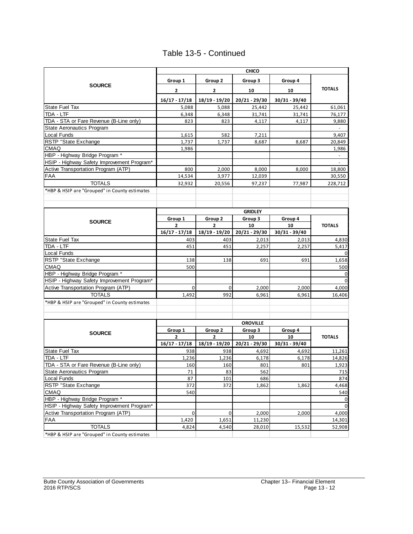|  |  | Table 13-5 - Continued |
|--|--|------------------------|
|--|--|------------------------|

| <b>CHICO</b>                                  |                 |                 |                 |               |               |
|-----------------------------------------------|-----------------|-----------------|-----------------|---------------|---------------|
| <b>SOURCE</b>                                 | Group 1         | Group 2         | Group 3         | Group 4       |               |
|                                               | $\mathbf{2}$    | $\mathbf{2}$    | 10              | 10            | <b>TOTALS</b> |
|                                               | $16/17 - 17/18$ | 18/19 - 19/20   | 20/21 - 29/30   | 30/31 - 39/40 |               |
| <b>State Fuel Tax</b>                         | 5,088           | 5,088           | 25,442          | 25,442        | 61,061        |
| TDA - LTF                                     | 6,348           | 6,348           | 31,741          | 31,741        | 76,177        |
| TDA - STA or Fare Revenue (B-Line only)       | 823             | 823             | 4,117           | 4,117         | 9,880         |
| <b>State Aeronautics Program</b>              |                 |                 |                 |               |               |
| Local Funds                                   | 1,615           | 582             | 7,211           |               | 9,407         |
| RSTP "State Exchange                          | 1,737           | 1,737           | 8,687           | 8,687         | 20,849        |
| <b>CMAQ</b>                                   | 1,986           |                 |                 |               | 1,986         |
| HBP - Highway Bridge Program *                |                 |                 |                 |               |               |
| HSIP - Highway Safety Improvement Program*    |                 |                 |                 |               | $\omega$      |
| Active Transportation Program (ATP)           | 800             | 2,000           | 8,000           | 8,000         | 18,800        |
| <b>FAA</b>                                    | 14,534          | 3,977           | 12,039          |               | 30,550        |
| <b>TOTALS</b>                                 | 32,932          | 20,556          | 97,237          | 77,987        | 228,712       |
| *HBP & HSIP are "Grouped" in County estimates |                 |                 |                 |               |               |
|                                               |                 |                 |                 |               |               |
|                                               |                 |                 |                 |               |               |
|                                               |                 |                 | <b>GRIDLEY</b>  |               |               |
|                                               | Group 1         | Group 2         | Group 3         | Group 4       |               |
| <b>SOURCE</b>                                 | $\overline{2}$  | $\overline{2}$  | 10              | 10            | <b>TOTALS</b> |
|                                               | $16/17 - 17/18$ | 18/19 - 19/20   | 20/21 - 29/30   | 30/31 - 39/40 |               |
| State Fuel Tax                                | 403             | 403             | 2,013           | 2,013         | 4,830         |
| TDA - LTF                                     | 451             | 451             | 2,257           | 2,257         | 5,417         |
| Local Funds                                   |                 |                 |                 |               | $\Omega$      |
| RSTP "State Exchange                          | 138             | 138             | 691             | 691           | 1,658         |
| <b>CMAQ</b>                                   | 500             |                 |                 |               | 500           |
| HBP - Highway Bridge Program *                |                 |                 |                 |               | $\mathbf 0$   |
| HSIP - Highway Safety Improvement Program*    |                 |                 |                 |               |               |
| Active Transportation Program (ATP)           | $\mathbf 0$     | $\mathbf 0$     | 2,000           | 2,000         | 4,000         |
| <b>TOTALS</b>                                 | 1,492           | 992             | 6,961           | 6,961         | 16,406        |
| *HBP & HSIP are "Grouped" in County estimates |                 |                 |                 |               |               |
|                                               |                 |                 |                 |               |               |
|                                               |                 |                 |                 |               |               |
|                                               |                 |                 | <b>OROVILLE</b> |               |               |
|                                               | Group 1         | Group 2         | Group 3         | Group 4       |               |
| <b>SOURCE</b>                                 | $\mathbf{2}$    | $\overline{2}$  | 10              | 10            | <b>TOTALS</b> |
|                                               | $16/17 - 17/18$ | 18/19 - 19/20   | $20/21 - 29/30$ | 30/31 - 39/40 |               |
| State Fuel Tax                                | 938             | 938             | 4,692           | 4,692         | 11,261        |
| TDA - LTF                                     | 1,236           | 1,236           | 6,178           | 6,178         | 14,826        |
| TDA - STA or Fare Revenue (B-Line only)       | 160             | 160             | 801             | 801           | 1,923         |
| State Aeronautics Program                     | 71              | 83              | 562             |               | 715           |
| <b>Local Funds</b>                            | 87              | 101             | 686             |               | 874           |
| RSTP "State Exchange                          | 372             | $\frac{1}{372}$ | 1,862           | 1,862         | 4,468         |
| <b>CMAQ</b>                                   | 540             |                 |                 |               | 540           |
| HBP - Highway Bridge Program *                |                 |                 |                 |               | 0             |
| HSIP - Highway Safety Improvement Program*    |                 |                 |                 |               | 0             |
| Active Transportation Program (ATP)           | $\mathbf 0$     | 0               | 2,000           | 2,000         | 4,000         |
| FAA                                           | 1,420           | 1,651           | 11,230          |               | 14,301        |
| <b>TOTALS</b>                                 | 4,824           | 4,540           | 28,010          | 15,532        | 52,908        |
| *HBP & HSIP are "Grouped" in County estimates |                 |                 |                 |               |               |
|                                               |                 |                 |                 |               |               |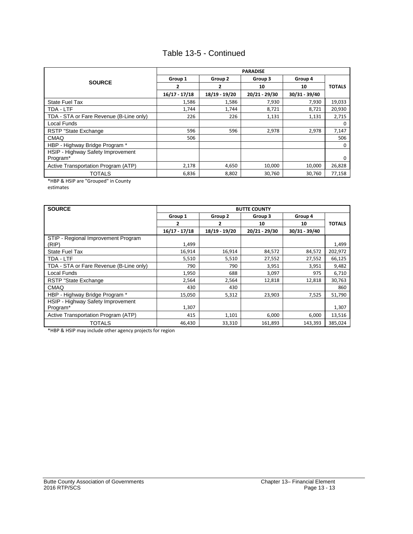### Table 13-5 - Continued

|                                         | <b>PARADISE</b> |               |               |               |               |  |
|-----------------------------------------|-----------------|---------------|---------------|---------------|---------------|--|
| <b>SOURCE</b>                           | Group 1         | Group 2       | Group 3       | Group 4       |               |  |
|                                         | 2               | 2             | 10            | 10            | <b>TOTALS</b> |  |
|                                         | $16/17 - 17/18$ | 18/19 - 19/20 | 20/21 - 29/30 | 30/31 - 39/40 |               |  |
| <b>State Fuel Tax</b>                   | 1.586           | 1,586         | 7,930         | 7,930         | 19,033        |  |
| TDA - LTF                               | 1,744           | 1,744         | 8,721         | 8,721         | 20,930        |  |
| TDA - STA or Fare Revenue (B-Line only) | 226             | 226           | 1,131         | 1,131         | 2,715         |  |
| Local Funds                             |                 |               |               |               | <sup>0</sup>  |  |
| RSTP "State Exchange                    | 596             | 596           | 2,978         | 2,978         | 7,147         |  |
| <b>CMAQ</b>                             | 506             |               |               |               | 506           |  |
| HBP - Highway Bridge Program *          |                 |               |               |               | 0             |  |
| HSIP - Highway Safety Improvement       |                 |               |               |               |               |  |
| Program*                                |                 |               |               |               | $\Omega$      |  |
| Active Transportation Program (ATP)     | 2,178           | 4,650         | 10,000        | 10,000        | 26,828        |  |
| TOTALS                                  | 6,836           | 8,802         | 30,760        | 30,760        | 77,158        |  |

\*HBP & HSIP are "Grouped" in County estimates

| <b>SOURCE</b>                           | <b>BUTTE COUNTY</b> |               |               |               |               |
|-----------------------------------------|---------------------|---------------|---------------|---------------|---------------|
|                                         | Group 1             | Group 2       | Group 3       | Group 4       |               |
|                                         | 2                   | 2             | 10            | 10            | <b>TOTALS</b> |
|                                         | $16/17 - 17/18$     | 18/19 - 19/20 | 20/21 - 29/30 | 30/31 - 39/40 |               |
| STIP - Regional Improvement Program     |                     |               |               |               |               |
| (RIP)                                   | 1,499               |               |               |               | 1,499         |
| <b>State Fuel Tax</b>                   | 16,914              | 16,914        | 84,572        | 84,572        | 202,972       |
| TDA - LTF                               | 5,510               | 5,510         | 27,552        | 27,552        | 66,125        |
| TDA - STA or Fare Revenue (B-Line only) | 790                 | 790           | 3,951         | 3,951         | 9,482         |
| Local Funds                             | 1,950               | 688           | 3,097         | 975           | 6,710         |
| RSTP "State Exchange                    | 2,564               | 2,564         | 12,818        | 12,818        | 30,763        |
| <b>CMAQ</b>                             | 430                 | 430           |               |               | 860           |
| HBP - Highway Bridge Program *          | 15,050              | 5,312         | 23,903        | 7,525         | 51,790        |
| HSIP - Highway Safety Improvement       |                     |               |               |               |               |
| Program*                                | 1,307               |               |               |               | 1,307         |
| Active Transportation Program (ATP)     | 415                 | 1,101         | 6,000         | 6,000         | 13,516        |
| <b>TOTALS</b>                           | 46,430              | 33,310        | 161,893       | 143,393       | 385,024       |

\*HBP & HSIP may include other agency projects for region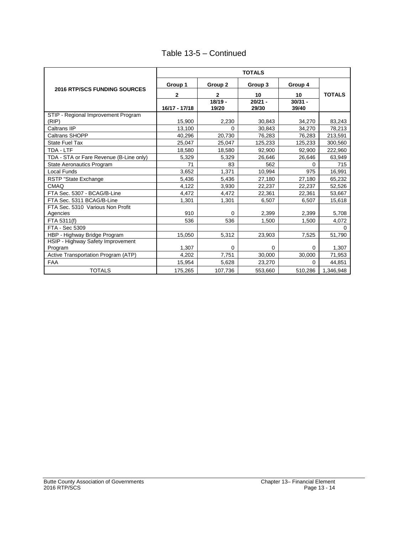|  |  | Table 13-5 - Continued |
|--|--|------------------------|
|--|--|------------------------|

|                                         | <b>TOTALS</b> |                    |                    |                    |               |  |
|-----------------------------------------|---------------|--------------------|--------------------|--------------------|---------------|--|
|                                         | Group 1       | Group 2            | Group 3            | Group 4            |               |  |
| <b>2016 RTP/SCS FUNDING SOURCES</b>     | 2             | $\mathbf{2}$       | 10                 | 10                 | <b>TOTALS</b> |  |
|                                         | 16/17 - 17/18 | $18/19 -$<br>19/20 | $20/21 -$<br>29/30 | $30/31 -$<br>39/40 |               |  |
| STIP - Regional Improvement Program     |               |                    |                    |                    |               |  |
| (RIP)                                   | 15.900        | 2,230              | 30.843             | 34,270             | 83,243        |  |
| Caltrans IIP                            | 13.100        | $\Omega$           | 30.843             | 34.270             | 78,213        |  |
| Caltrans SHOPP                          | 40,296        | 20,730             | 76,283             | 76,283             | 213,591       |  |
| <b>State Fuel Tax</b>                   | 25,047        | 25,047             | 125,233            | 125,233            | 300,560       |  |
| TDA - LTF                               | 18,580        | 18,580             | 92,900             | 92,900             | 222,960       |  |
| TDA - STA or Fare Revenue (B-Line only) | 5,329         | 5,329              | 26,646             | 26,646             | 63,949        |  |
| <b>State Aeronautics Program</b>        | 71            | 83                 | 562                | <sup>0</sup>       | 715           |  |
| <b>Local Funds</b>                      | 3,652         | 1.371              | 10,994             | 975                | 16,991        |  |
| RSTP "State Exchange                    | 5,436         | 5,436              | 27,180             | 27,180             | 65,232        |  |
| CMAQ                                    | 4,122         | 3,930              | 22,237             | 22,237             | 52,526        |  |
| FTA Sec. 5307 - BCAG/B-Line             | 4,472         | 4,472              | 22,361             | 22,361             | 53,667        |  |
| FTA Sec. 5311 BCAG/B-Line               | 1,301         | 1,301              | 6,507              | 6,507              | 15,618        |  |
| FTA Sec. 5310 Various Non Profit        |               |                    |                    |                    |               |  |
| Agencies                                | 910           | $\Omega$           | 2,399              | 2,399              | 5,708         |  |
| FTA 5311(f)                             | 536           | 536                | 1.500              | 1.500              | 4,072         |  |
| FTA - Sec 5309                          |               |                    |                    |                    | $\Omega$      |  |
| HBP - Highway Bridge Program            | 15,050        | 5,312              | 23,903             | 7,525              | 51,790        |  |
| HSIP - Highway Safety Improvement       |               |                    |                    |                    |               |  |
| Program                                 | 1,307         | 0                  | 0                  | 0                  | 1,307         |  |
| Active Transportation Program (ATP)     | 4,202         | 7,751              | 30,000             | 30,000             | 71,953        |  |
| <b>FAA</b>                              | 15,954        | 5,628              | 23,270             | $\Omega$           | 44,851        |  |
| <b>TOTALS</b>                           | 175,265       | 107,736            | 553,660            | 510,286            | 1,346,948     |  |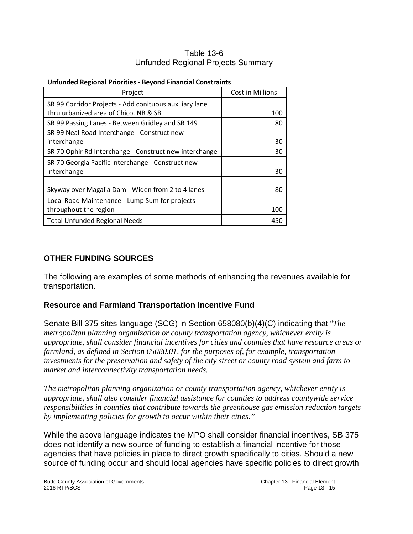#### Table 13-6 Unfunded Regional Projects Summary

| 0u.u.ucu Regional Filoritics - Deyona Financial Constraints |                  |
|-------------------------------------------------------------|------------------|
| Project                                                     | Cost in Millions |
| SR 99 Corridor Projects - Add conituous auxiliary lane      |                  |
| thru urbanized area of Chico. NB & SB                       | 100              |
| SR 99 Passing Lanes - Between Gridley and SR 149            | 80               |
| SR 99 Neal Road Interchange - Construct new                 |                  |
| interchange                                                 | 30               |
| SR 70 Ophir Rd Interchange - Construct new interchange      | 30               |
| SR 70 Georgia Pacific Interchange - Construct new           |                  |
| interchange                                                 | 30               |
|                                                             |                  |
| Skyway over Magalia Dam - Widen from 2 to 4 lanes           | 80               |
| Local Road Maintenance - Lump Sum for projects              |                  |
| throughout the region                                       | 100              |
| <b>Total Unfunded Regional Needs</b>                        | 450              |

#### **Unfunded Regional Priorities - Beyond Financial Constraints**

### **OTHER FUNDING SOURCES**

The following are examples of some methods of enhancing the revenues available for transportation.

### **Resource and Farmland Transportation Incentive Fund**

Senate Bill 375 sites language (SCG) in Section 658080(b)(4)(C) indicating that "*The metropolitan planning organization or county transportation agency, whichever entity is appropriate, shall consider financial incentives for cities and counties that have resource areas or farmland, as defined in Section 65080.01, for the purposes of, for example, transportation investments for the preservation and safety of the city street or county road system and farm to market and interconnectivity transportation needs.* 

*The metropolitan planning organization or county transportation agency, whichever entity is appropriate, shall also consider financial assistance for counties to address countywide service responsibilities in counties that contribute towards the greenhouse gas emission reduction targets by implementing policies for growth to occur within their cities."*

While the above language indicates the MPO shall consider financial incentives, SB 375 does not identify a new source of funding to establish a financial incentive for those agencies that have policies in place to direct growth specifically to cities. Should a new source of funding occur and should local agencies have specific policies to direct growth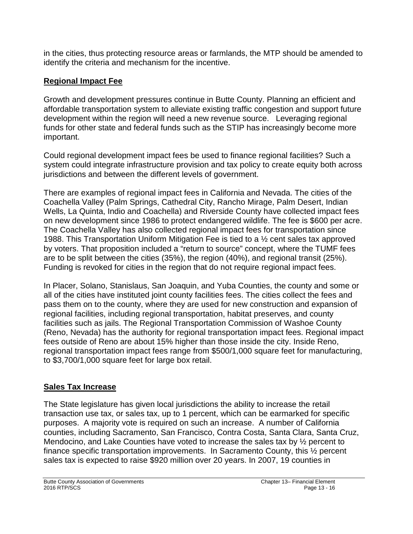in the cities, thus protecting resource areas or farmlands, the MTP should be amended to identify the criteria and mechanism for the incentive.

# **Regional Impact Fee**

Growth and development pressures continue in Butte County. Planning an efficient and affordable transportation system to alleviate existing traffic congestion and support future development within the region will need a new revenue source. Leveraging regional funds for other state and federal funds such as the STIP has increasingly become more important.

Could regional development impact fees be used to finance regional facilities? Such a system could integrate infrastructure provision and tax policy to create equity both across jurisdictions and between the different levels of government.

There are examples of regional impact fees in California and Nevada. The cities of the Coachella Valley (Palm Springs, Cathedral City, Rancho Mirage, Palm Desert, Indian Wells, La Quinta, Indio and Coachella) and Riverside County have collected impact fees on new development since 1986 to protect endangered wildlife. The fee is \$600 per acre. The Coachella Valley has also collected regional impact fees for transportation since 1988. This Transportation Uniform Mitigation Fee is tied to a ½ cent sales tax approved by voters. That proposition included a "return to source" concept, where the TUMF fees are to be split between the cities (35%), the region (40%), and regional transit (25%). Funding is revoked for cities in the region that do not require regional impact fees.

In Placer, Solano, Stanislaus, San Joaquin, and Yuba Counties, the county and some or all of the cities have instituted joint county facilities fees. The cities collect the fees and pass them on to the county, where they are used for new construction and expansion of regional facilities, including regional transportation, habitat preserves, and county facilities such as jails. The Regional Transportation Commission of Washoe County (Reno, Nevada) has the authority for regional transportation impact fees. Regional impact fees outside of Reno are about 15% higher than those inside the city. Inside Reno, regional transportation impact fees range from \$500/1,000 square feet for manufacturing, to \$3,700/1,000 square feet for large box retail.

# **Sales Tax Increase**

The State legislature has given local jurisdictions the ability to increase the retail transaction use tax, or sales tax, up to 1 percent, which can be earmarked for specific purposes. A majority vote is required on such an increase. A number of California counties, including Sacramento, San Francisco, Contra Costa, Santa Clara, Santa Cruz, Mendocino, and Lake Counties have voted to increase the sales tax by ½ percent to finance specific transportation improvements. In Sacramento County, this ½ percent sales tax is expected to raise \$920 million over 20 years. In 2007, 19 counties in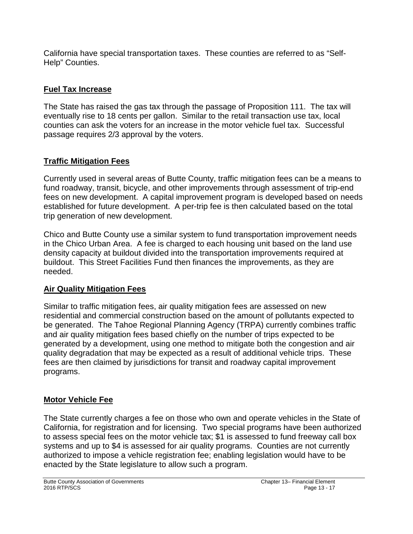California have special transportation taxes. These counties are referred to as "Self-Help" Counties.

### **Fuel Tax Increase**

The State has raised the gas tax through the passage of Proposition 111. The tax will eventually rise to 18 cents per gallon. Similar to the retail transaction use tax, local counties can ask the voters for an increase in the motor vehicle fuel tax. Successful passage requires 2/3 approval by the voters.

# **Traffic Mitigation Fees**

Currently used in several areas of Butte County, traffic mitigation fees can be a means to fund roadway, transit, bicycle, and other improvements through assessment of trip-end fees on new development. A capital improvement program is developed based on needs established for future development. A per-trip fee is then calculated based on the total trip generation of new development.

Chico and Butte County use a similar system to fund transportation improvement needs in the Chico Urban Area. A fee is charged to each housing unit based on the land use density capacity at buildout divided into the transportation improvements required at buildout. This Street Facilities Fund then finances the improvements, as they are needed.

### **Air Quality Mitigation Fees**

Similar to traffic mitigation fees, air quality mitigation fees are assessed on new residential and commercial construction based on the amount of pollutants expected to be generated. The Tahoe Regional Planning Agency (TRPA) currently combines traffic and air quality mitigation fees based chiefly on the number of trips expected to be generated by a development, using one method to mitigate both the congestion and air quality degradation that may be expected as a result of additional vehicle trips. These fees are then claimed by jurisdictions for transit and roadway capital improvement programs.

# **Motor Vehicle Fee**

The State currently charges a fee on those who own and operate vehicles in the State of California, for registration and for licensing. Two special programs have been authorized to assess special fees on the motor vehicle tax; \$1 is assessed to fund freeway call box systems and up to \$4 is assessed for air quality programs. Counties are not currently authorized to impose a vehicle registration fee; enabling legislation would have to be enacted by the State legislature to allow such a program.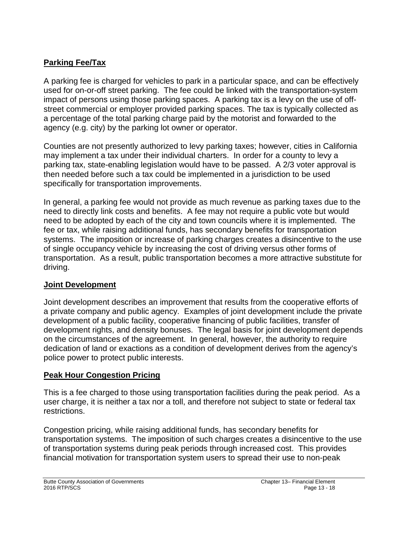### **Parking Fee/Tax**

A parking fee is charged for vehicles to park in a particular space, and can be effectively used for on-or-off street parking. The fee could be linked with the transportation-system impact of persons using those parking spaces. A parking tax is a levy on the use of offstreet commercial or employer provided parking spaces. The tax is typically collected as a percentage of the total parking charge paid by the motorist and forwarded to the agency (e.g. city) by the parking lot owner or operator.

Counties are not presently authorized to levy parking taxes; however, cities in California may implement a tax under their individual charters. In order for a county to levy a parking tax, state-enabling legislation would have to be passed. A 2/3 voter approval is then needed before such a tax could be implemented in a jurisdiction to be used specifically for transportation improvements.

In general, a parking fee would not provide as much revenue as parking taxes due to the need to directly link costs and benefits. A fee may not require a public vote but would need to be adopted by each of the city and town councils where it is implemented. The fee or tax, while raising additional funds, has secondary benefits for transportation systems. The imposition or increase of parking charges creates a disincentive to the use of single occupancy vehicle by increasing the cost of driving versus other forms of transportation. As a result, public transportation becomes a more attractive substitute for driving.

### **Joint Development**

Joint development describes an improvement that results from the cooperative efforts of a private company and public agency. Examples of joint development include the private development of a public facility, cooperative financing of public facilities, transfer of development rights, and density bonuses. The legal basis for joint development depends on the circumstances of the agreement. In general, however, the authority to require dedication of land or exactions as a condition of development derives from the agency's police power to protect public interests.

### **Peak Hour Congestion Pricing**

This is a fee charged to those using transportation facilities during the peak period. As a user charge, it is neither a tax nor a toll, and therefore not subject to state or federal tax restrictions.

Congestion pricing, while raising additional funds, has secondary benefits for transportation systems. The imposition of such charges creates a disincentive to the use of transportation systems during peak periods through increased cost. This provides financial motivation for transportation system users to spread their use to non-peak